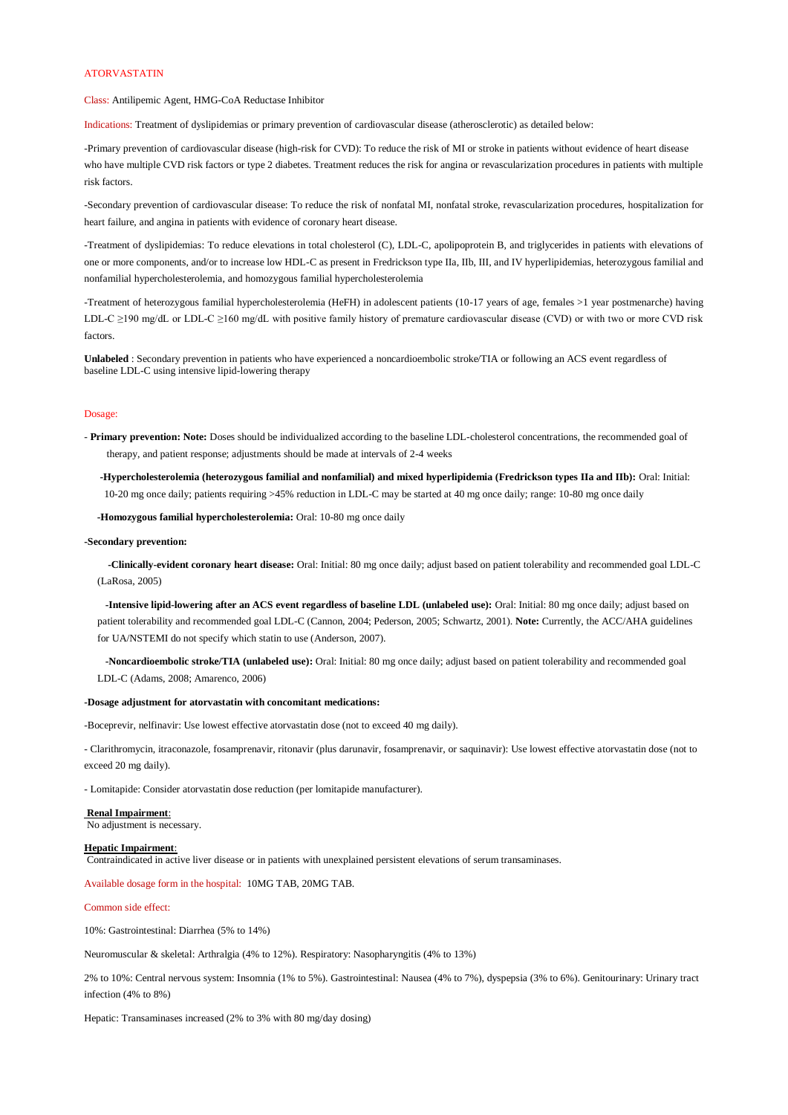## ATORVASTATIN

Class: Antilipemic Agent, HMG-CoA Reductase Inhibitor

Indications: Treatment of dyslipidemias or primary prevention of cardiovascular disease (atherosclerotic) as detailed below:

-Primary prevention of cardiovascular disease (high-risk for CVD): To reduce the risk of MI or stroke in patients without evidence of heart disease who have multiple CVD risk factors or type 2 diabetes. Treatment reduces the risk for angina or revascularization procedures in patients with multiple risk factors.

-Secondary prevention of cardiovascular disease: To reduce the risk of nonfatal MI, nonfatal stroke, revascularization procedures, hospitalization for heart failure, and angina in patients with evidence of coronary heart disease.

-Treatment of dyslipidemias: To reduce elevations in total cholesterol (C), LDL-C, apolipoprotein B, and triglycerides in patients with elevations of one or more components, and/or to increase low HDL-C as present in Fredrickson type IIa, IIb, III, and IV hyperlipidemias, heterozygous familial and nonfamilial hypercholesterolemia, and homozygous familial hypercholesterolemia

-Treatment of heterozygous familial hypercholesterolemia (HeFH) in adolescent patients (10-17 years of age, females >1 year postmenarche) having LDL-C ≥190 mg/dL or LDL-C ≥160 mg/dL with positive family history of premature cardiovascular disease (CVD) or with two or more CVD risk factors.

**Unlabeled** : Secondary prevention in patients who have experienced a noncardioembolic stroke/TIA or following an ACS event regardless of baseline LDL-C using intensive lipid-lowering therapy

#### Dosage:

- **Primary prevention: Note:** Doses should be individualized according to the baseline LDL-cholesterol concentrations, the recommended goal of therapy, and patient response; adjustments should be made at intervals of 2-4 weeks

 **-Hypercholesterolemia (heterozygous familial and nonfamilial) and mixed hyperlipidemia (Fredrickson types IIa and IIb):** Oral: Initial: 10-20 mg once daily; patients requiring >45% reduction in LDL-C may be started at 40 mg once daily; range: 10-80 mg once daily

 **-Homozygous familial hypercholesterolemia:** Oral: 10-80 mg once daily

**-Secondary prevention:**

 **-Clinically-evident coronary heart disease:** Oral: Initial: 80 mg once daily; adjust based on patient tolerability and recommended goal LDL-C (LaRosa, 2005)

 **-Intensive lipid-lowering after an ACS event regardless of baseline LDL (unlabeled use):** Oral: Initial: 80 mg once daily; adjust based on patient tolerability and recommended goal LDL-C (Cannon, 2004; Pederson, 2005; Schwartz, 2001). **Note:** Currently, the ACC/AHA guidelines for UA/NSTEMI do not specify which statin to use (Anderson, 2007).

 **-Noncardioembolic stroke/TIA (unlabeled use):** Oral: Initial: 80 mg once daily; adjust based on patient tolerability and recommended goal LDL-C (Adams, 2008; Amarenco, 2006)

### **-Dosage adjustment for atorvastatin with concomitant medications:**

-Boceprevir, nelfinavir: Use lowest effective atorvastatin dose (not to exceed 40 mg daily).

- Clarithromycin, itraconazole, fosamprenavir, ritonavir (plus darunavir, fosamprenavir, or saquinavir): Use lowest effective atorvastatin dose (not to exceed 20 mg daily).

- Lomitapide: Consider atorvastatin dose reduction (per lomitapide manufacturer).

**Renal Impairment**:

No adjustment is necessary.

### **Hepatic Impairment**:

Contraindicated in active liver disease or in patients with unexplained persistent elevations of serum transaminases.

# Available dosage form in the hospital: 10MG TAB, 20MG TAB.

Common side effect:

10%: Gastrointestinal: Diarrhea (5% to 14%)

Neuromuscular & skeletal: Arthralgia (4% to 12%). Respiratory: Nasopharyngitis (4% to 13%)

2% to 10%: Central nervous system: Insomnia (1% to 5%). Gastrointestinal: Nausea (4% to 7%), dyspepsia (3% to 6%). Genitourinary: Urinary tract infection (4% to 8%)

Hepatic: Transaminases increased (2% to 3% with 80 mg/day dosing)